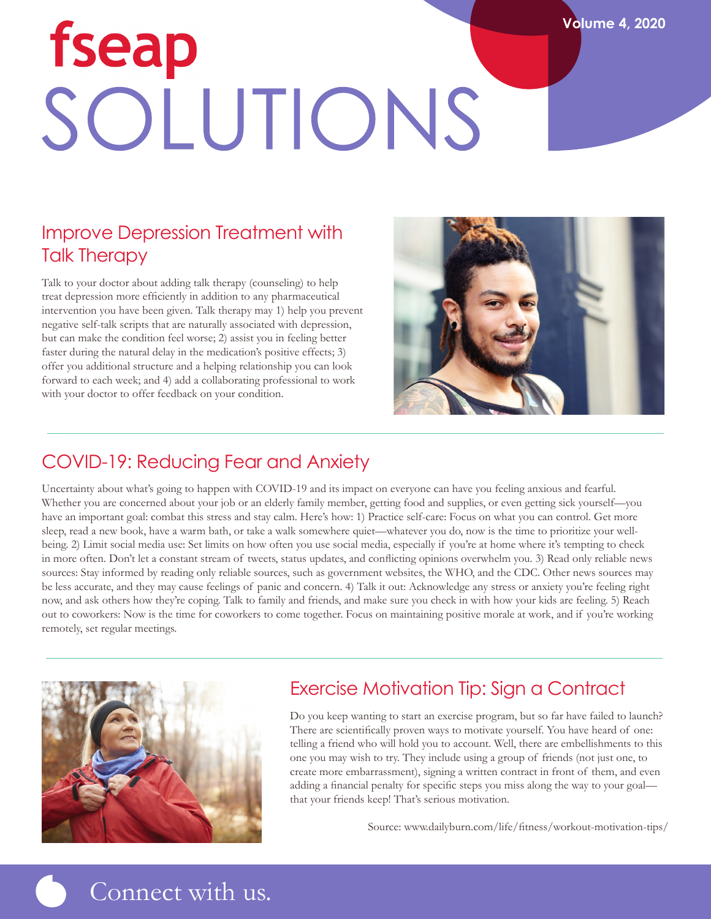# fseap SOLUTIONS

# Improve Depression Treatment with Talk Therapy

Talk to your doctor about adding talk therapy (counseling) to help treat depression more efficiently in addition to any pharmaceutical intervention you have been given. Talk therapy may 1) help you prevent negative self-talk scripts that are naturally associated with depression, but can make the condition feel worse; 2) assist you in feeling better faster during the natural delay in the medication's positive effects; 3) offer you additional structure and a helping relationship you can look forward to each week; and 4) add a collaborating professional to work with your doctor to offer feedback on your condition.



**Volume 4, 2020**

# COVID-19: Reducing Fear and Anxiety

Uncertainty about what's going to happen with COVID-19 and its impact on everyone can have you feeling anxious and fearful. Whether you are concerned about your job or an elderly family member, getting food and supplies, or even getting sick yourself—you have an important goal: combat this stress and stay calm. Here's how: 1) Practice self-care: Focus on what you can control. Get more sleep, read a new book, have a warm bath, or take a walk somewhere quiet—whatever you do, now is the time to prioritize your wellbeing. 2) Limit social media use: Set limits on how often you use social media, especially if you're at home where it's tempting to check in more often. Don't let a constant stream of tweets, status updates, and conflicting opinions overwhelm you. 3) Read only reliable news sources: Stay informed by reading only reliable sources, such as government websites, the WHO, and the CDC. Other news sources may be less accurate, and they may cause feelings of panic and concern. 4) Talk it out: Acknowledge any stress or anxiety you're feeling right now, and ask others how they're coping. Talk to family and friends, and make sure you check in with how your kids are feeling. 5) Reach out to coworkers: Now is the time for coworkers to come together. Focus on maintaining positive morale at work, and if you're working remotely, set regular meetings.



### Exercise Motivation Tip: Sign a Contract

Do you keep wanting to start an exercise program, but so far have failed to launch? There are scientifically proven ways to motivate yourself. You have heard of one: telling a friend who will hold you to account. Well, there are embellishments to this one you may wish to try. They include using a group of friends (not just one, to create more embarrassment), signing a written contract in front of them, and even adding a financial penalty for specific steps you miss along the way to your goal that your friends keep! That's serious motivation.

Source: www.dailyburn.com/life/fitness/workout-motivation-tips/